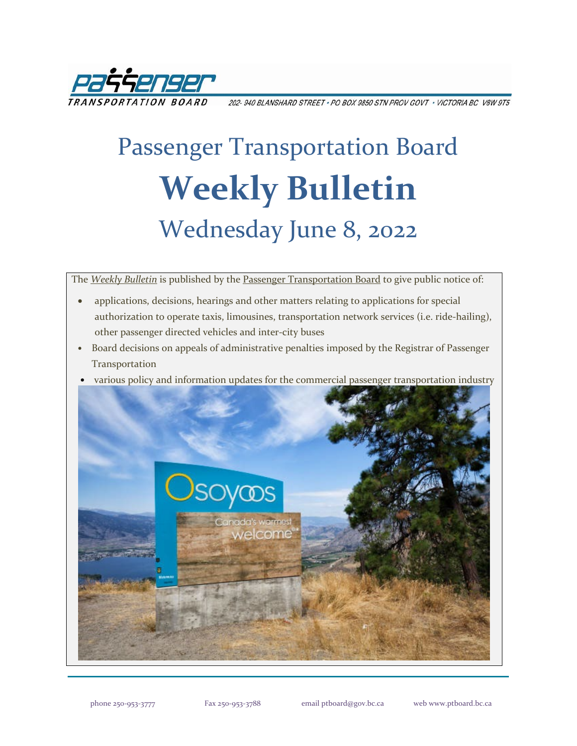

202-940 BLANSHARD STREET . PO BOX 9850 STN PROV GOVT . VICTORIA BC V8W 9T5

# Passenger Transportation Board **Weekly Bulletin** Wednesday June 8, 2022

The *[Weekly Bulletin](https://www.ptboard.bc.ca/bulletins.htm)* is published by th[e Passenger Transportation Board](https://www.ptboard.bc.ca/index.htm) to give public notice of:

- applications, decisions, hearings and other matters relating to applications for special authorization to operate taxis, limousines, transportation network services (i.e. ride-hailing), other passenger directed vehicles and inter-city buses
- Board decisions on appeals of administrative penalties imposed by the Registrar of Passenger Transportation
- various policy and information updates for the commercial passenger transportation industry

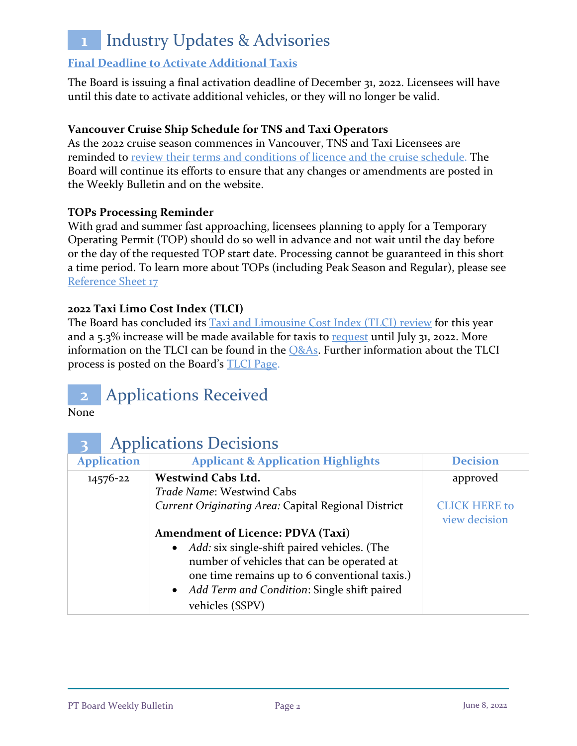## **1** Industry Updates & Advisories

#### **[Final Deadline to Activate Additional Taxis](https://www.ptboard.bc.ca/documents/ia-taxi-activation-final-extension-2022.pdf)**

The Board is issuing a final activation deadline of December 31, 2022. Licensees will have until this date to activate additional vehicles, or they will no longer be valid.

#### **Vancouver Cruise Ship Schedule for TNS and Taxi Operators**

As the 2022 cruise season commences in Vancouver, TNS and Taxi Licensees are reminded to [review their terms and conditions of licence and the cruise schedule.](https://www.ptboard.bc.ca/documents/ia-Vancouver-Cruise-Ship-Season-Reminder-2022.pdf) The Board will continue its efforts to ensure that any changes or amendments are posted in the Weekly Bulletin and on the website.

#### **TOPs Processing Reminder**

With grad and summer fast approaching, licensees planning to apply for a Temporary Operating Permit (TOP) should do so well in advance and not wait until the day before or the day of the requested TOP start date. Processing cannot be guaranteed in this short a time period. To learn more about TOPs (including Peak Season and Regular), please see [Reference Sheet 17](http://www.th.gov.bc.ca/forms/getForm.aspx?formId=1351)

#### **2022 Taxi Limo Cost Index (TLCI)**

The Board has concluded its [Taxi and Limousine Cost Index \(TLCI\) review](https://www.ptboard.bc.ca/documents/ia-tlci-2022.pdf) for this year and a  $5.3\%$  increase will be made available for taxis to [request](https://www.th.gov.bc.ca/forms/getForm.aspx?formId=1377) until July 31, 2022. More information on the TLCI can be found in the  $Q&As$ . Further information about the TLCI process is posted on the Board's [TLCI Page.](https://www.ptboard.bc.ca/tlci.htm)

### **2** Applications Received

None

|                    |  | <b>Applications Decisions</b>                        |                      |  |
|--------------------|--|------------------------------------------------------|----------------------|--|
| <b>Application</b> |  | <b>Applicant &amp; Application Highlights</b>        | <b>Decision</b>      |  |
| 14576-22           |  | <b>Westwind Cabs Ltd.</b>                            | approved             |  |
|                    |  | Trade Name: Westwind Cabs                            |                      |  |
|                    |  | Current Originating Area: Capital Regional District  | <b>CLICK HERE to</b> |  |
|                    |  |                                                      | view decision        |  |
|                    |  | <b>Amendment of Licence: PDVA (Taxi)</b>             |                      |  |
|                    |  | • <i>Add:</i> six single-shift paired vehicles. (The |                      |  |
|                    |  | number of vehicles that can be operated at           |                      |  |
|                    |  | one time remains up to 6 conventional taxis.)        |                      |  |
|                    |  | • Add Term and Condition: Single shift paired        |                      |  |
|                    |  | vehicles (SSPV)                                      |                      |  |